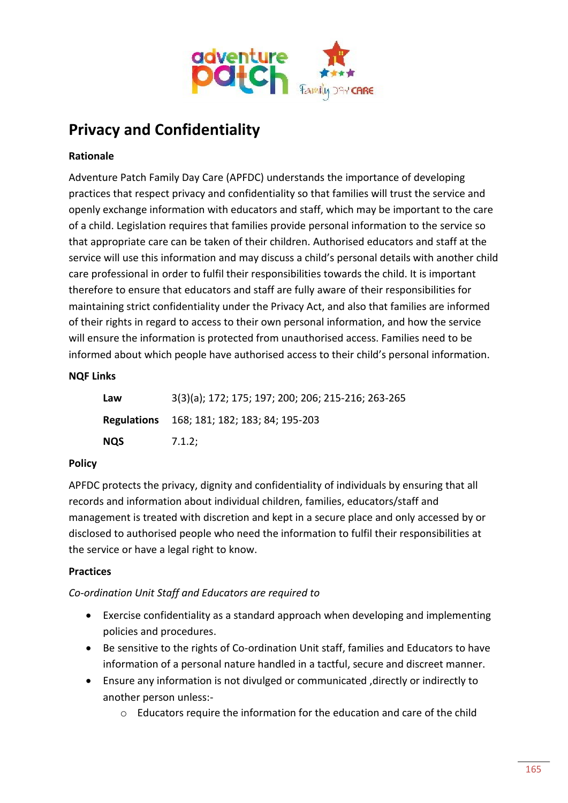

# **Privacy and Confidentiality**

# **Rationale**

Adventure Patch Family Day Care (APFDC) understands the importance of developing practices that respect privacy and confidentiality so that families will trust the service and openly exchange information with educators and staff, which may be important to the care of a child. Legislation requires that families provide personal information to the service so that appropriate care can be taken of their children. Authorised educators and staff at the service will use this information and may discuss a child's personal details with another child care professional in order to fulfil their responsibilities towards the child. It is important therefore to ensure that educators and staff are fully aware of their responsibilities for maintaining strict confidentiality under the Privacy Act, and also that families are informed of their rights in regard to access to their own personal information, and how the service will ensure the information is protected from unauthorised access. Families need to be informed about which people have authorised access to their child's personal information.

# **NQF Links**

| Law        | 3(3)(a); 172; 175; 197; 200; 206; 215-216; 263-265 |
|------------|----------------------------------------------------|
|            | <b>Regulations</b> 168; 181; 182; 183; 84; 195-203 |
| <b>NQS</b> | 7.1.2;                                             |

### **Policy**

APFDC protects the privacy, dignity and confidentiality of individuals by ensuring that all records and information about individual children, families, educators/staff and management is treated with discretion and kept in a secure place and only accessed by or disclosed to authorised people who need the information to fulfil their responsibilities at the service or have a legal right to know.

### **Practices**

# *Co-ordination Unit Staff and Educators are required to*

- Exercise confidentiality as a standard approach when developing and implementing policies and procedures.
- Be sensitive to the rights of Co-ordination Unit staff, families and Educators to have information of a personal nature handled in a tactful, secure and discreet manner.
- Ensure any information is not divulged or communicated ,directly or indirectly to another person unless:
	- o Educators require the information for the education and care of the child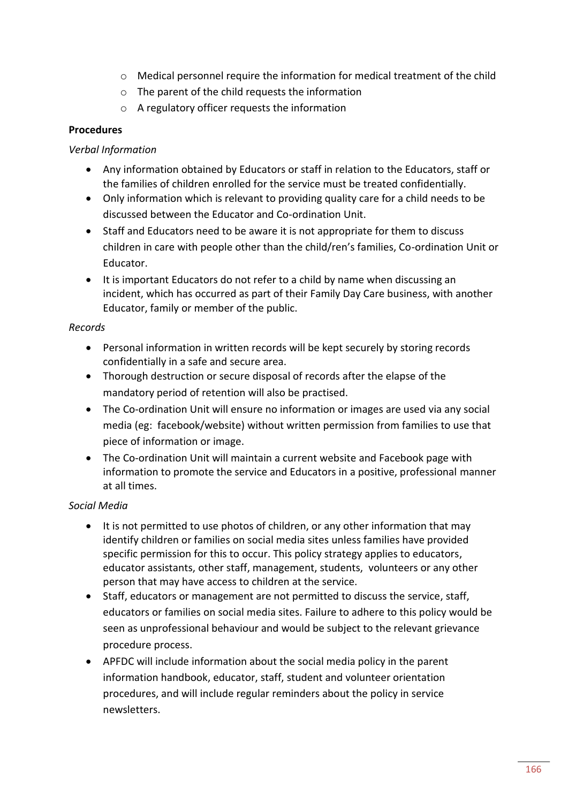- o Medical personnel require the information for medical treatment of the child
- o The parent of the child requests the information
- o A regulatory officer requests the information

### **Procedures**

#### *Verbal Information*

- Any information obtained by Educators or staff in relation to the Educators, staff or the families of children enrolled for the service must be treated confidentially.
- Only information which is relevant to providing quality care for a child needs to be discussed between the Educator and Co-ordination Unit.
- Staff and Educators need to be aware it is not appropriate for them to discuss children in care with people other than the child/ren's families, Co-ordination Unit or Educator.
- It is important Educators do not refer to a child by name when discussing an incident, which has occurred as part of their Family Day Care business, with another Educator, family or member of the public.

#### *Records*

- Personal information in written records will be kept securely by storing records confidentially in a safe and secure area.
- Thorough destruction or secure disposal of records after the elapse of the mandatory period of retention will also be practised.
- The Co-ordination Unit will ensure no information or images are used via any social media (eg: facebook/website) without written permission from families to use that piece of information or image.
- The Co-ordination Unit will maintain a current website and Facebook page with information to promote the service and Educators in a positive, professional manner at all times.

### *Social Media*

- It is not permitted to use photos of children, or any other information that may identify children or families on social media sites unless families have provided specific permission for this to occur. This policy strategy applies to educators, educator assistants, other staff, management, students, volunteers or any other person that may have access to children at the service.
- Staff, educators or management are not permitted to discuss the service, staff, educators or families on social media sites. Failure to adhere to this policy would be seen as unprofessional behaviour and would be subject to the relevant grievance procedure process.
- APFDC will include information about the social media policy in the parent information handbook, educator, staff, student and volunteer orientation procedures, and will include regular reminders about the policy in service newsletters.